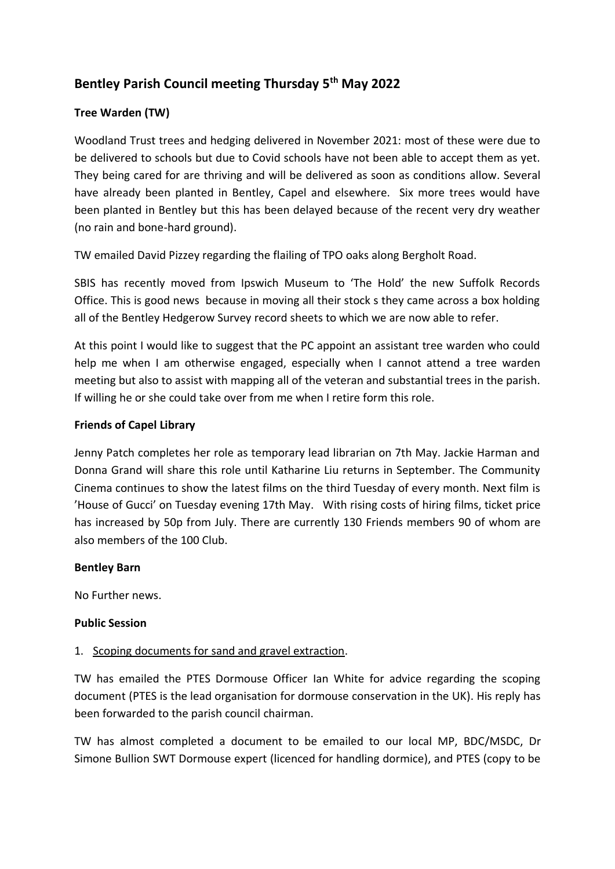# **Bentley Parish Council meeting Thursday 5th May 2022**

### **Tree Warden (TW)**

Woodland Trust trees and hedging delivered in November 2021: most of these were due to be delivered to schools but due to Covid schools have not been able to accept them as yet. They being cared for are thriving and will be delivered as soon as conditions allow. Several have already been planted in Bentley, Capel and elsewhere. Six more trees would have been planted in Bentley but this has been delayed because of the recent very dry weather (no rain and bone-hard ground).

TW emailed David Pizzey regarding the flailing of TPO oaks along Bergholt Road.

SBIS has recently moved from Ipswich Museum to 'The Hold' the new Suffolk Records Office. This is good news because in moving all their stock s they came across a box holding all of the Bentley Hedgerow Survey record sheets to which we are now able to refer.

At this point I would like to suggest that the PC appoint an assistant tree warden who could help me when I am otherwise engaged, especially when I cannot attend a tree warden meeting but also to assist with mapping all of the veteran and substantial trees in the parish. If willing he or she could take over from me when I retire form this role.

### **Friends of Capel Library**

Jenny Patch completes her role as temporary lead librarian on 7th May. Jackie Harman and Donna Grand will share this role until Katharine Liu returns in September. The Community Cinema continues to show the latest films on the third Tuesday of every month. Next film is 'House of Gucci' on Tuesday evening 17th May. With rising costs of hiring films, ticket price has increased by 50p from July. There are currently 130 Friends members 90 of whom are also members of the 100 Club.

#### **Bentley Barn**

No Further news.

#### **Public Session**

#### 1. Scoping documents for sand and gravel extraction.

TW has emailed the PTES Dormouse Officer Ian White for advice regarding the scoping document (PTES is the lead organisation for dormouse conservation in the UK). His reply has been forwarded to the parish council chairman.

TW has almost completed a document to be emailed to our local MP, BDC/MSDC, Dr Simone Bullion SWT Dormouse expert (licenced for handling dormice), and PTES (copy to be